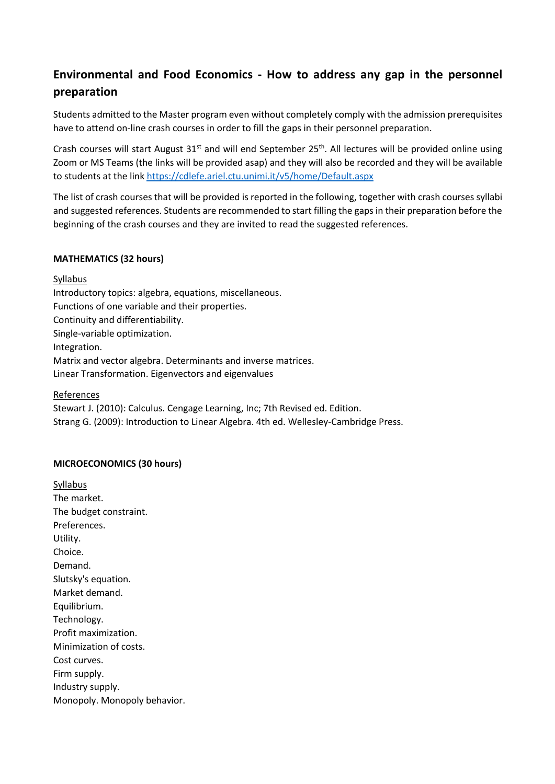# **Environmental and Food Economics - How to address any gap in the personnel preparation**

Students admitted to the Master program even without completely comply with the admission prerequisites have to attend on-line crash courses in order to fill the gaps in their personnel preparation.

Crash courses will start August 31<sup>st</sup> and will end September 25<sup>th</sup>. All lectures will be provided online using Zoom or MS Teams (the links will be provided asap) and they will also be recorded and they will be available to students at the link https://cdlefe.ariel.ctu.unimi.it/v5/home/Default.aspx

The list of crash courses that will be provided is reported in the following, together with crash courses syllabi and suggested references. Students are recommended to start filling the gaps in their preparation before the beginning of the crash courses and they are invited to read the suggested references.

#### **MATHEMATICS (32 hours)**

Syllabus

Introductory topics: algebra, equations, miscellaneous. Functions of one variable and their properties. Continuity and differentiability. Single-variable optimization. Integration. Matrix and vector algebra. Determinants and inverse matrices. Linear Transformation. Eigenvectors and eigenvalues

#### References

Stewart J. (2010): Calculus. Cengage Learning, Inc; 7th Revised ed. Edition. Strang G. (2009): Introduction to Linear Algebra. 4th ed. Wellesley-Cambridge Press.

### **MICROECONOMICS (30 hours)**

Syllabus The market. The budget constraint. Preferences. Utility. Choice. Demand. Slutsky's equation. Market demand. Equilibrium. Technology. Profit maximization. Minimization of costs. Cost curves. Firm supply. Industry supply. Monopoly. Monopoly behavior.